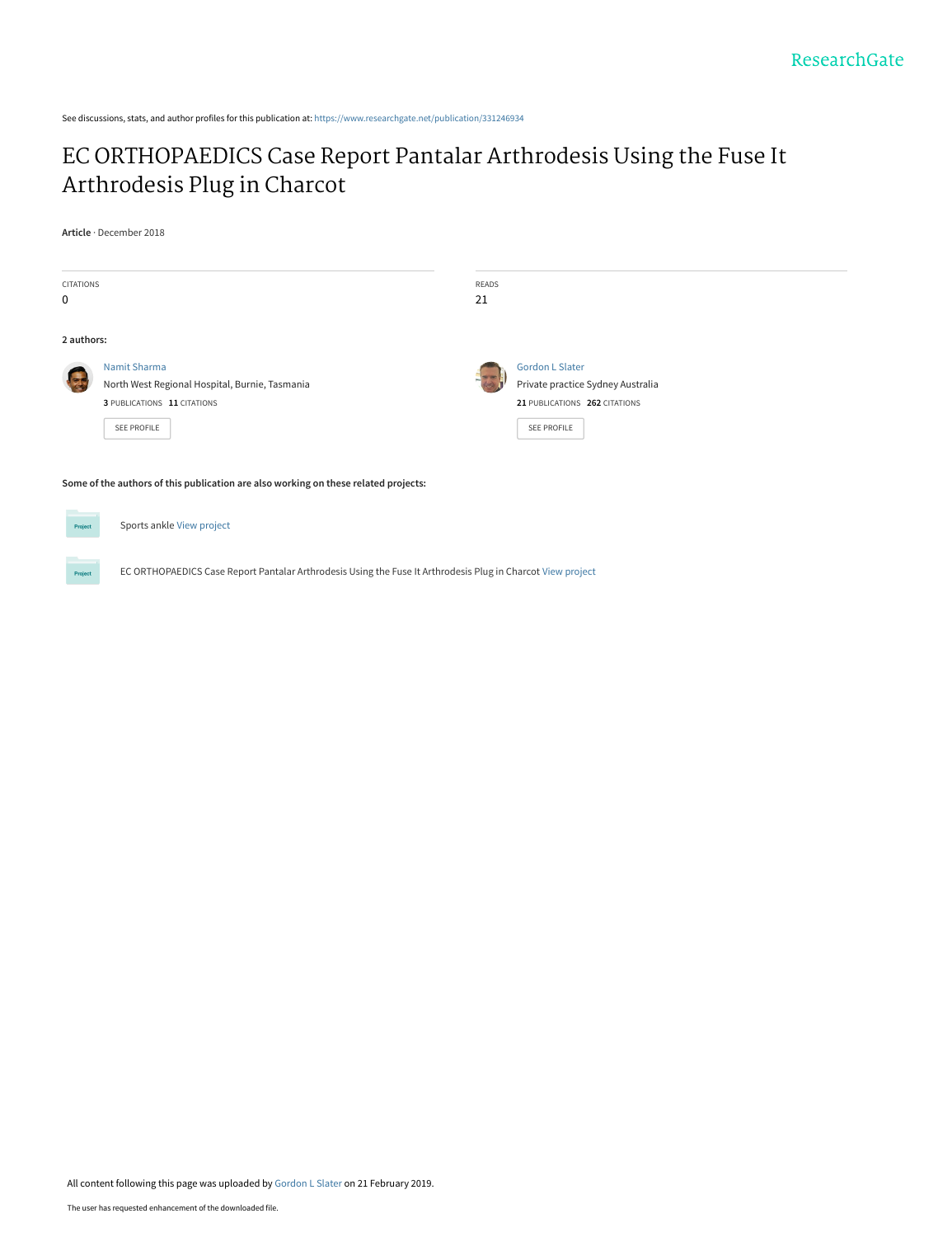See discussions, stats, and author profiles for this publication at: [https://www.researchgate.net/publication/331246934](https://www.researchgate.net/publication/331246934_EC_ORTHOPAEDICS_Case_Report_Pantalar_Arthrodesis_Using_the_Fuse_It_Arthrodesis_Plug_in_Charcot?enrichId=rgreq-4f72c1fa40dca4e2446a2e22bf6199b6-XXX&enrichSource=Y292ZXJQYWdlOzMzMTI0NjkzNDtBUzo3Mjg1ODkyNDI3NTMwMjRAMTU1MDcyMDYyMDEzMg%3D%3D&el=1_x_2&_esc=publicationCoverPdf)

# [EC ORTHOPAEDICS Case Report Pantalar Arthrodesis Using the Fuse It](https://www.researchgate.net/publication/331246934_EC_ORTHOPAEDICS_Case_Report_Pantalar_Arthrodesis_Using_the_Fuse_It_Arthrodesis_Plug_in_Charcot?enrichId=rgreq-4f72c1fa40dca4e2446a2e22bf6199b6-XXX&enrichSource=Y292ZXJQYWdlOzMzMTI0NjkzNDtBUzo3Mjg1ODkyNDI3NTMwMjRAMTU1MDcyMDYyMDEzMg%3D%3D&el=1_x_3&_esc=publicationCoverPdf) Arthrodesis Plug in Charcot

**Article** · December 2018

| <b>CITATIONS</b><br>$\mathbf 0$ |                                                                                                                 | READS<br>21 |                                                                                              |
|---------------------------------|-----------------------------------------------------------------------------------------------------------------|-------------|----------------------------------------------------------------------------------------------|
| 2 authors:                      |                                                                                                                 |             |                                                                                              |
|                                 | Namit Sharma<br>North West Regional Hospital, Burnie, Tasmania<br>3 PUBLICATIONS 11 CITATIONS                   |             | <b>Gordon L Slater</b><br>Private practice Sydney Australia<br>21 PUBLICATIONS 262 CITATIONS |
|                                 | SEE PROFILE                                                                                                     |             | SEE PROFILE                                                                                  |
|                                 | the contract of the contract of the contract of the contract of the contract of the contract of the contract of |             |                                                                                              |

**Some of the authors of this publication are also working on these related projects:**



All content following this page was uploaded by [Gordon L Slater](https://www.researchgate.net/profile/Gordon_Slater?enrichId=rgreq-4f72c1fa40dca4e2446a2e22bf6199b6-XXX&enrichSource=Y292ZXJQYWdlOzMzMTI0NjkzNDtBUzo3Mjg1ODkyNDI3NTMwMjRAMTU1MDcyMDYyMDEzMg%3D%3D&el=1_x_10&_esc=publicationCoverPdf) on 21 February 2019.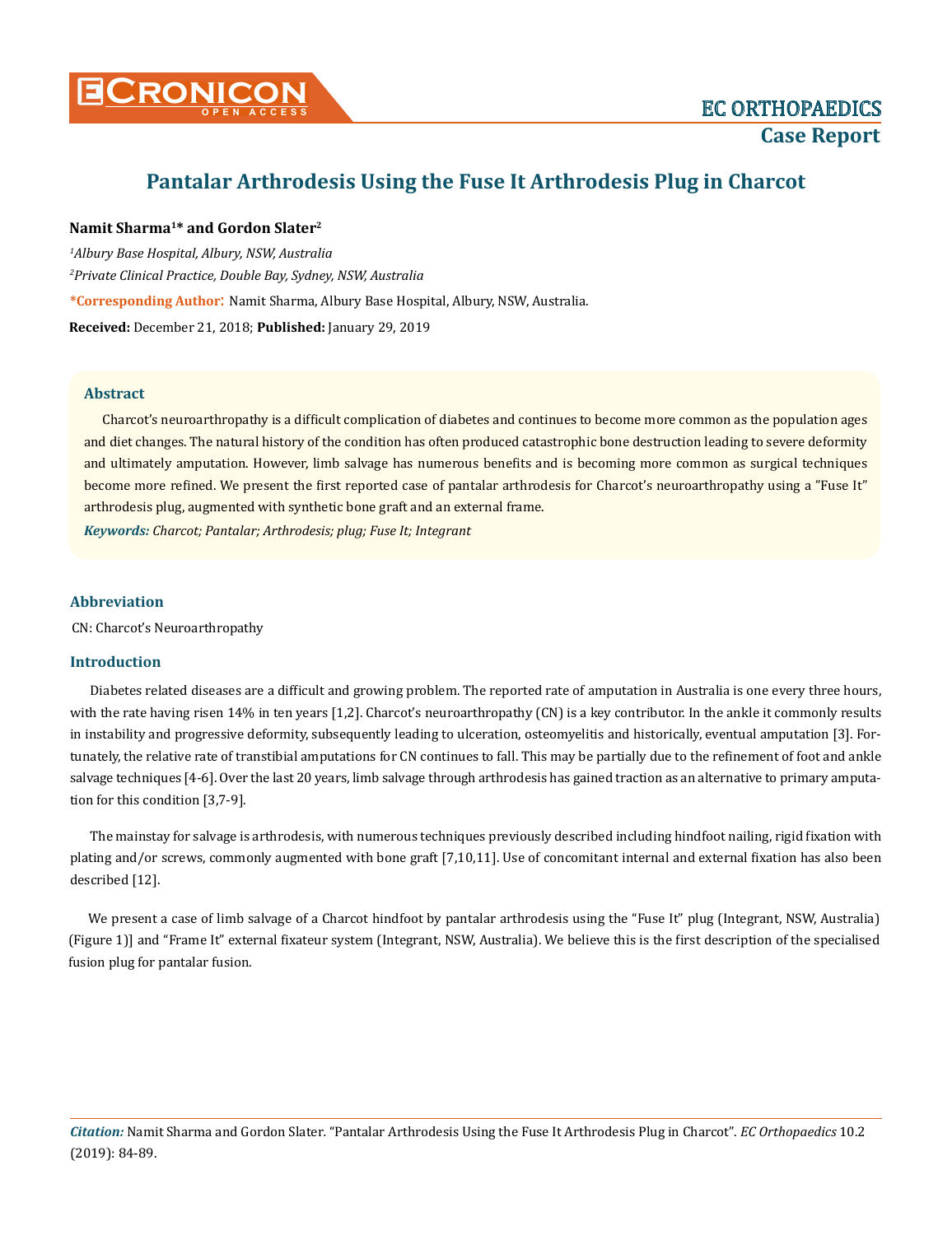

# **Pantalar Arthrodesis Using the Fuse It Arthrodesis Plug in Charcot**

# **Namit Sharma1\* and Gordon Slater2**

*1 Albury Base Hospital, Albury, NSW, Australia* 

*2 Private Clinical Practice, Double Bay, Sydney, NSW, Australia*

**\*Corresponding Author**: Namit Sharma, Albury Base Hospital, Albury, NSW, Australia.

**Received:** December 21, 2018; **Published:** January 29, 2019

#### **Abstract**

Charcot's neuroarthropathy is a difficult complication of diabetes and continues to become more common as the population ages and diet changes. The natural history of the condition has often produced catastrophic bone destruction leading to severe deformity and ultimately amputation. However, limb salvage has numerous benefits and is becoming more common as surgical techniques become more refined. We present the first reported case of pantalar arthrodesis for Charcot's neuroarthropathy using a "Fuse It" arthrodesis plug, augmented with synthetic bone graft and an external frame.

*Keywords: Charcot; Pantalar; Arthrodesis; plug; Fuse It; Integrant*

## **Abbreviation**

CN: Charcot's Neuroarthropathy

#### **Introduction**

Diabetes related diseases are a difficult and growing problem. The reported rate of amputation in Australia is one every three hours, with the rate having risen 14% in ten years [1,2]. Charcot's neuroarthropathy (CN) is a key contributor. In the ankle it commonly results in instability and progressive deformity, subsequently leading to ulceration, osteomyelitis and historically, eventual amputation [3]. Fortunately, the relative rate of transtibial amputations for CN continues to fall. This may be partially due to the refinement of foot and ankle salvage techniques [4-6]. Over the last 20 years, limb salvage through arthrodesis has gained traction as an alternative to primary amputation for this condition [3,7-9].

The mainstay for salvage is arthrodesis, with numerous techniques previously described including hindfoot nailing, rigid fixation with plating and/or screws, commonly augmented with bone graft [7,10,11]. Use of concomitant internal and external fixation has also been described [12].

We present a case of limb salvage of a Charcot hindfoot by pantalar arthrodesis using the "Fuse It" plug (Integrant, NSW, Australia) (Figure 1)] and "Frame It" external fixateur system (Integrant, NSW, Australia). We believe this is the first description of the specialised fusion plug for pantalar fusion.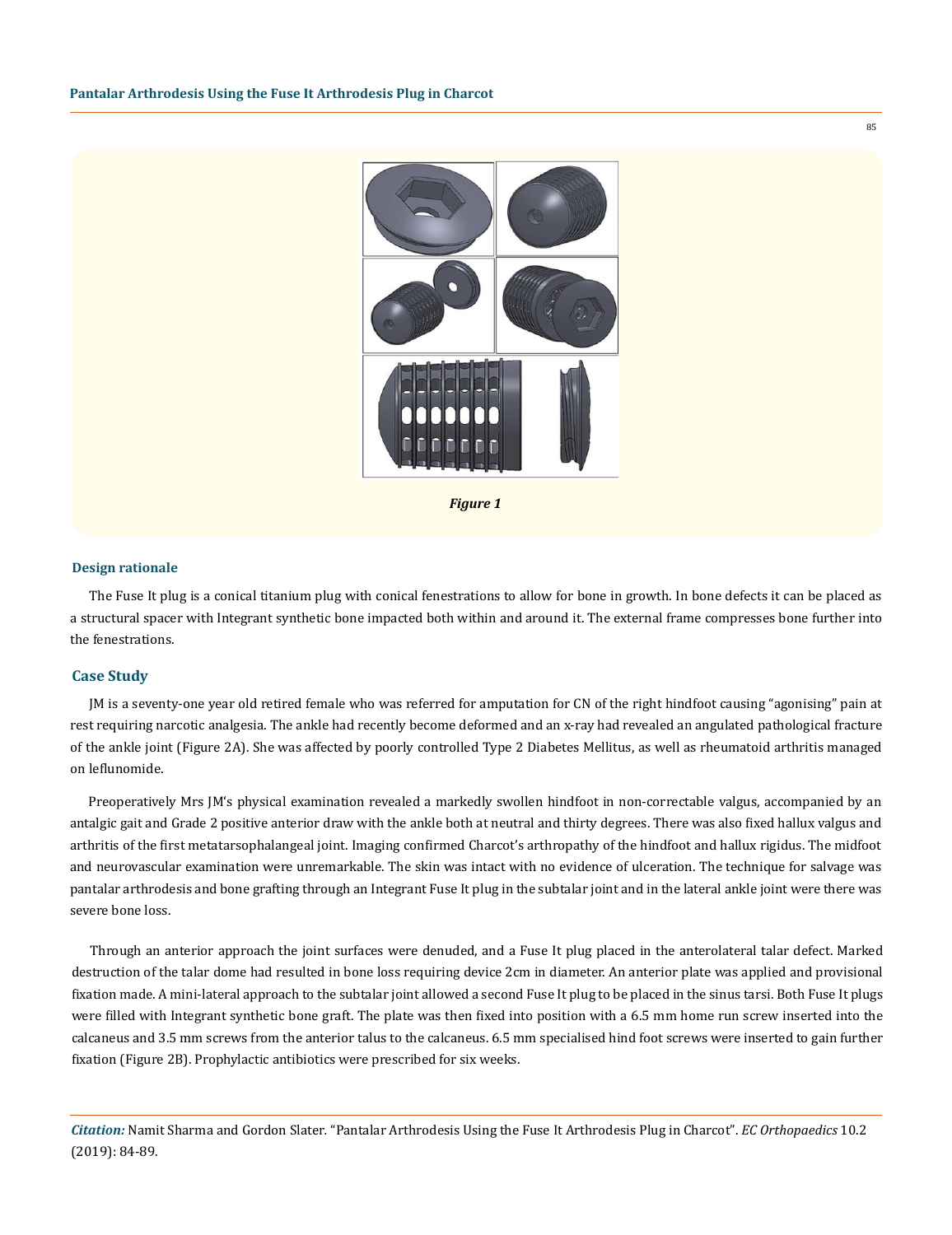

*Figure 1*

#### **Design rationale**

The Fuse It plug is a conical titanium plug with conical fenestrations to allow for bone in growth. In bone defects it can be placed as a structural spacer with Integrant synthetic bone impacted both within and around it. The external frame compresses bone further into the fenestrations.

#### **Case Study**

JM is a seventy-one year old retired female who was referred for amputation for CN of the right hindfoot causing "agonising" pain at rest requiring narcotic analgesia. The ankle had recently become deformed and an x-ray had revealed an angulated pathological fracture of the ankle joint (Figure 2A). She was affected by poorly controlled Type 2 Diabetes Mellitus, as well as rheumatoid arthritis managed on leflunomide.

Preoperatively Mrs JM's physical examination revealed a markedly swollen hindfoot in non-correctable valgus, accompanied by an antalgic gait and Grade 2 positive anterior draw with the ankle both at neutral and thirty degrees. There was also fixed hallux valgus and arthritis of the first metatarsophalangeal joint. Imaging confirmed Charcot's arthropathy of the hindfoot and hallux rigidus. The midfoot and neurovascular examination were unremarkable. The skin was intact with no evidence of ulceration. The technique for salvage was pantalar arthrodesis and bone grafting through an Integrant Fuse It plug in the subtalar joint and in the lateral ankle joint were there was severe bone loss.

Through an anterior approach the joint surfaces were denuded, and a Fuse It plug placed in the anterolateral talar defect. Marked destruction of the talar dome had resulted in bone loss requiring device 2cm in diameter. An anterior plate was applied and provisional fixation made. A mini-lateral approach to the subtalar joint allowed a second Fuse It plug to be placed in the sinus tarsi. Both Fuse It plugs were filled with Integrant synthetic bone graft. The plate was then fixed into position with a 6.5 mm home run screw inserted into the calcaneus and 3.5 mm screws from the anterior talus to the calcaneus. 6.5 mm specialised hind foot screws were inserted to gain further fixation (Figure 2B). Prophylactic antibiotics were prescribed for six weeks.

*Citation:* Namit Sharma and Gordon Slater*.* "Pantalar Arthrodesis Using the Fuse It Arthrodesis Plug in Charcot". *EC Orthopaedics* 10.2 (2019): 84-89.

85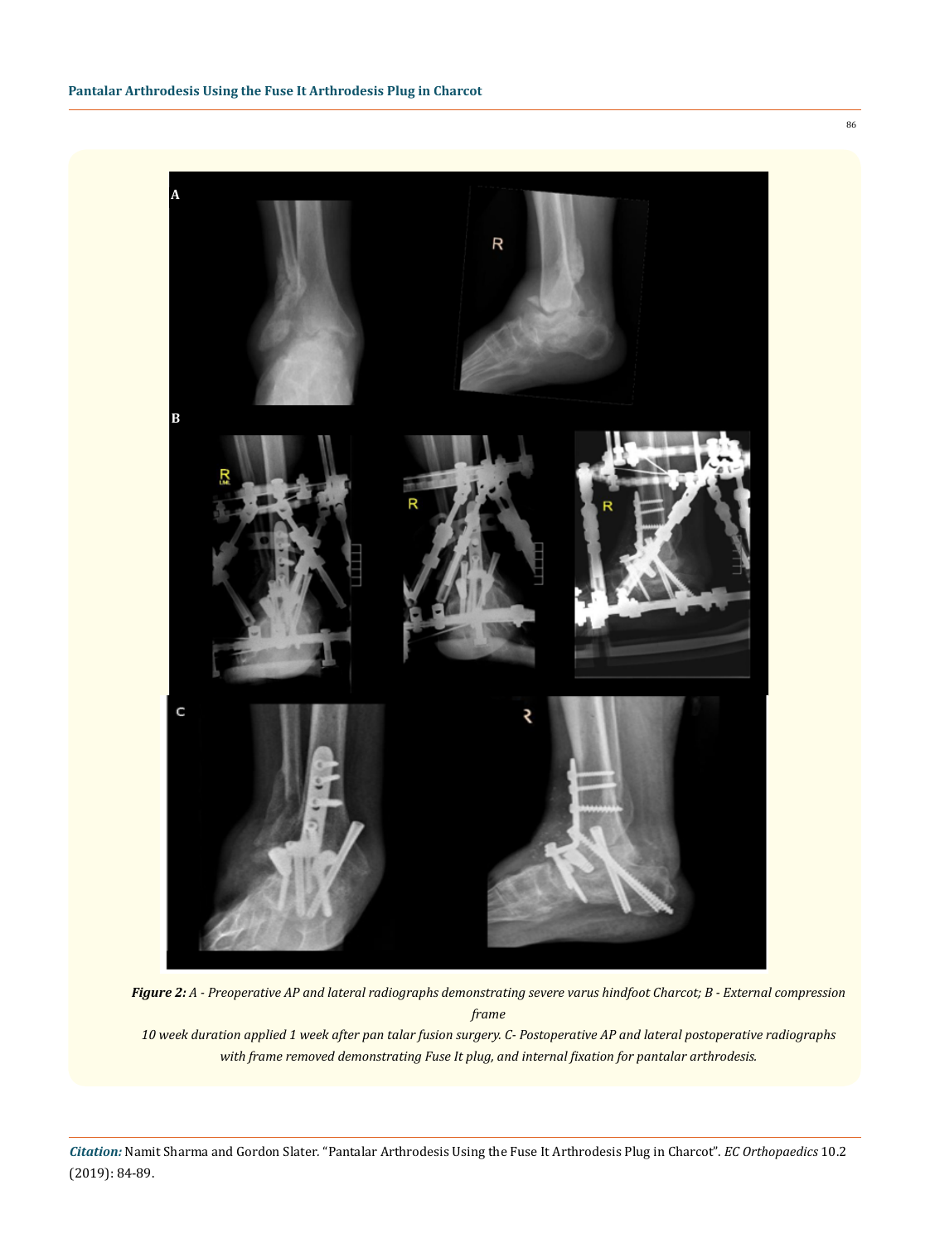

*Figure 2: A - Preoperative AP and lateral radiographs demonstrating severe varus hindfoot Charcot; B - External compression frame* 

*10 week duration applied 1 week after pan talar fusion surgery. C- Postoperative AP and lateral postoperative radiographs with frame removed demonstrating Fuse It plug, and internal fixation for pantalar arthrodesis.*

*Citation:* Namit Sharma and Gordon Slater*.* "Pantalar Arthrodesis Using the Fuse It Arthrodesis Plug in Charcot". *EC Orthopaedics* 10.2 (2019): 84-89.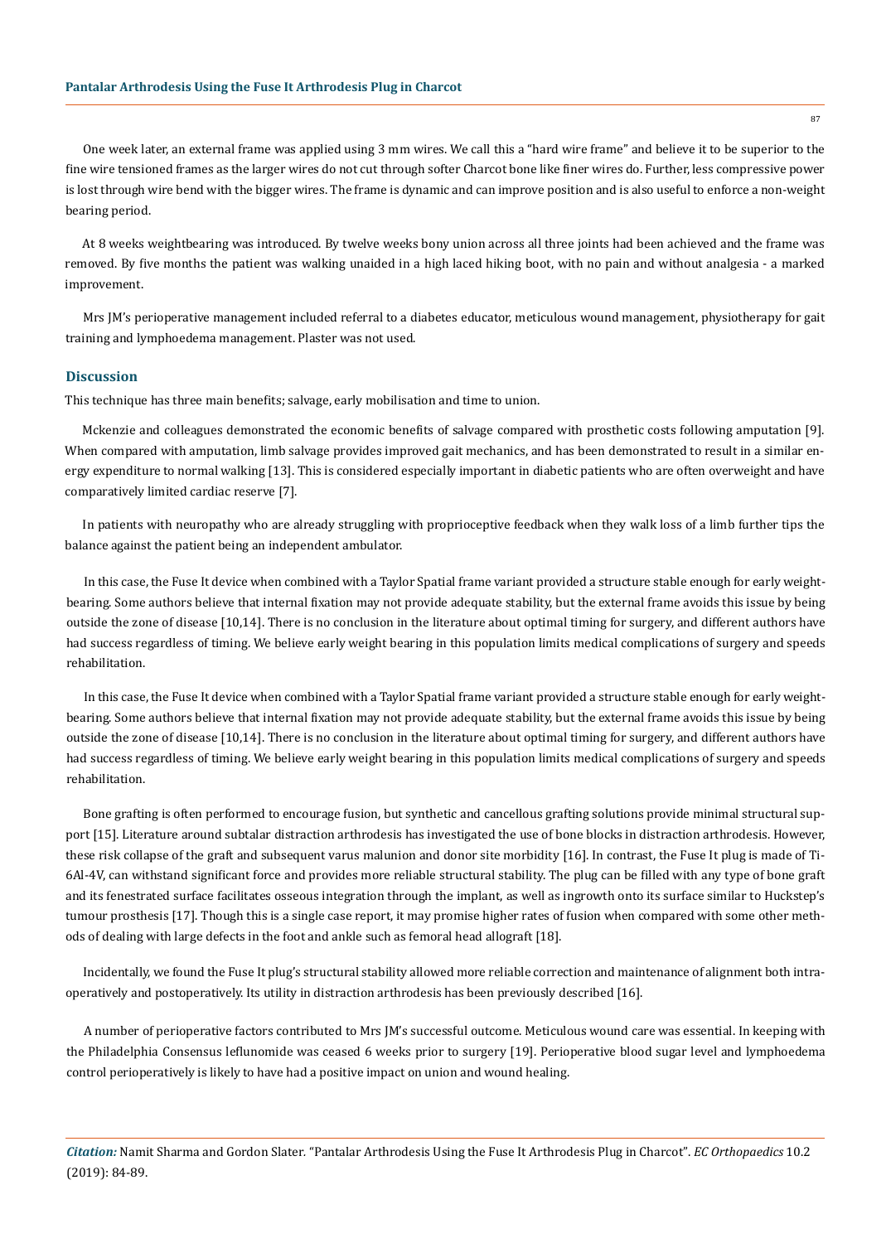One week later, an external frame was applied using 3 mm wires. We call this a "hard wire frame" and believe it to be superior to the fine wire tensioned frames as the larger wires do not cut through softer Charcot bone like finer wires do. Further, less compressive power is lost through wire bend with the bigger wires. The frame is dynamic and can improve position and is also useful to enforce a non-weight bearing period.

At 8 weeks weightbearing was introduced. By twelve weeks bony union across all three joints had been achieved and the frame was removed. By five months the patient was walking unaided in a high laced hiking boot, with no pain and without analgesia - a marked improvement.

Mrs JM's perioperative management included referral to a diabetes educator, meticulous wound management, physiotherapy for gait training and lymphoedema management. Plaster was not used.

#### **Discussion**

This technique has three main benefits; salvage, early mobilisation and time to union.

Mckenzie and colleagues demonstrated the economic benefits of salvage compared with prosthetic costs following amputation [9]. When compared with amputation, limb salvage provides improved gait mechanics, and has been demonstrated to result in a similar energy expenditure to normal walking [13]. This is considered especially important in diabetic patients who are often overweight and have comparatively limited cardiac reserve [7].

In patients with neuropathy who are already struggling with proprioceptive feedback when they walk loss of a limb further tips the balance against the patient being an independent ambulator.

In this case, the Fuse It device when combined with a Taylor Spatial frame variant provided a structure stable enough for early weightbearing. Some authors believe that internal fixation may not provide adequate stability, but the external frame avoids this issue by being outside the zone of disease [10,14]. There is no conclusion in the literature about optimal timing for surgery, and different authors have had success regardless of timing. We believe early weight bearing in this population limits medical complications of surgery and speeds rehabilitation.

In this case, the Fuse It device when combined with a Taylor Spatial frame variant provided a structure stable enough for early weightbearing. Some authors believe that internal fixation may not provide adequate stability, but the external frame avoids this issue by being outside the zone of disease [10,14]. There is no conclusion in the literature about optimal timing for surgery, and different authors have had success regardless of timing. We believe early weight bearing in this population limits medical complications of surgery and speeds rehabilitation.

Bone grafting is often performed to encourage fusion, but synthetic and cancellous grafting solutions provide minimal structural support [15]. Literature around subtalar distraction arthrodesis has investigated the use of bone blocks in distraction arthrodesis. However, these risk collapse of the graft and subsequent varus malunion and donor site morbidity [16]. In contrast, the Fuse It plug is made of Ti-6Al-4V, can withstand significant force and provides more reliable structural stability. The plug can be filled with any type of bone graft and its fenestrated surface facilitates osseous integration through the implant, as well as ingrowth onto its surface similar to Huckstep's tumour prosthesis [17]. Though this is a single case report, it may promise higher rates of fusion when compared with some other methods of dealing with large defects in the foot and ankle such as femoral head allograft [18].

Incidentally, we found the Fuse It plug's structural stability allowed more reliable correction and maintenance of alignment both intraoperatively and postoperatively. Its utility in distraction arthrodesis has been previously described [16].

A number of perioperative factors contributed to Mrs JM's successful outcome. Meticulous wound care was essential. In keeping with the Philadelphia Consensus leflunomide was ceased 6 weeks prior to surgery [19]. Perioperative blood sugar level and lymphoedema control perioperatively is likely to have had a positive impact on union and wound healing.

*Citation:* Namit Sharma and Gordon Slater*.* "Pantalar Arthrodesis Using the Fuse It Arthrodesis Plug in Charcot". *EC Orthopaedics* 10.2 (2019): 84-89.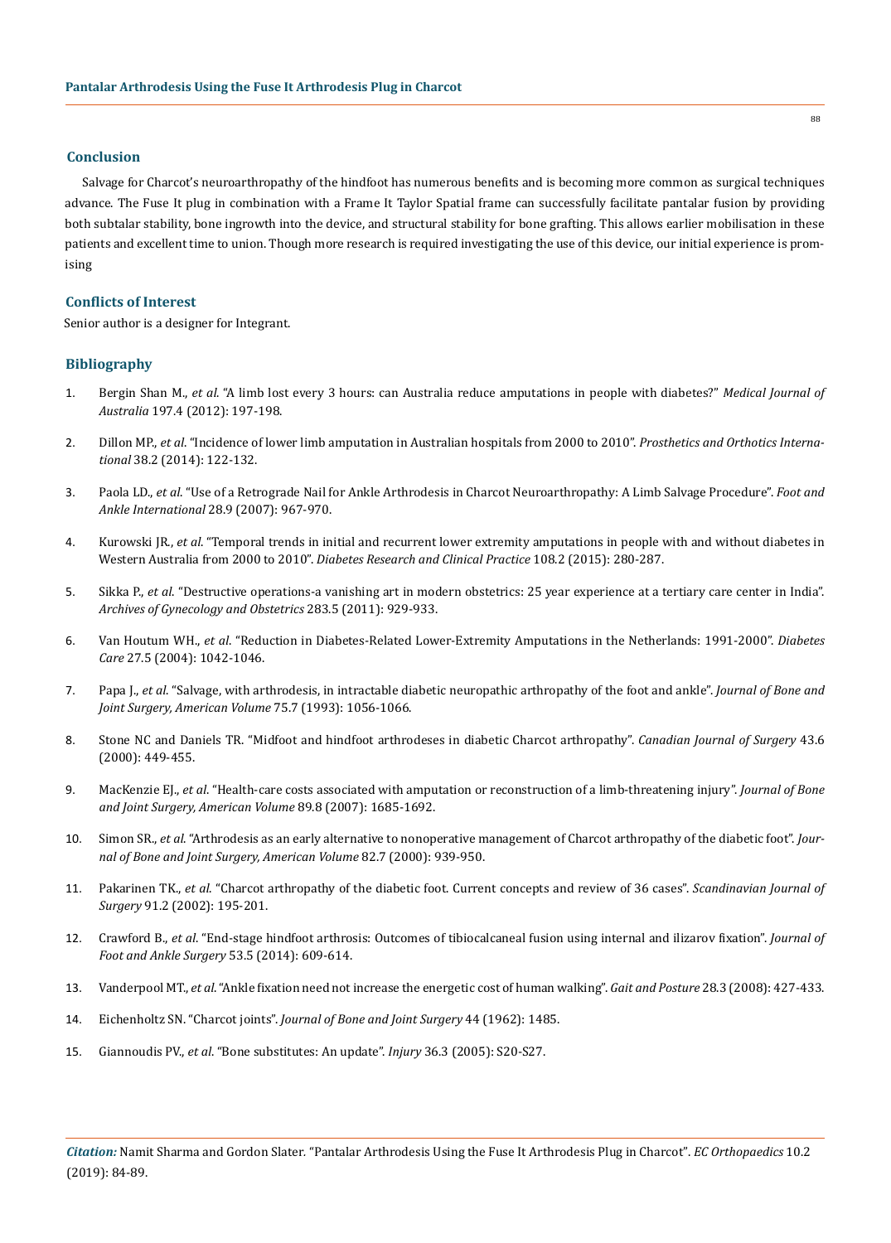#### **Conclusion**

Salvage for Charcot's neuroarthropathy of the hindfoot has numerous benefits and is becoming more common as surgical techniques advance. The Fuse It plug in combination with a Frame It Taylor Spatial frame can successfully facilitate pantalar fusion by providing both subtalar stability, bone ingrowth into the device, and structural stability for bone grafting. This allows earlier mobilisation in these patients and excellent time to union. Though more research is required investigating the use of this device, our initial experience is promising

## **Conflicts of Interest**

Senior author is a designer for Integrant.

# **Bibliography**

- 1. Bergin Shan M., *et al*[. "A limb lost every 3 hours: can Australia reduce amputations in people with diabetes?"](https://www.ncbi.nlm.nih.gov/pubmed/22900854) *Medical Journal of Australia* [197.4 \(2012\): 197-198.](https://www.ncbi.nlm.nih.gov/pubmed/22900854)
- 2. Dillon MP., *et al*[. "Incidence of lower limb amputation in Australian hospitals from 2000 to 2010".](https://www.ncbi.nlm.nih.gov/pubmed/23798042) *Prosthetics and Orthotics International* [38.2 \(2014\): 122-132.](https://www.ncbi.nlm.nih.gov/pubmed/23798042)
- 3. Paola LD., *et al*[. "Use of a Retrograde Nail for Ankle Arthrodesis in Charcot Neuroarthropathy: A Limb Salvage Procedure".](https://www.ncbi.nlm.nih.gov/pubmed/17880869) *Foot and [Ankle International](https://www.ncbi.nlm.nih.gov/pubmed/17880869)* 28.9 (2007): 967-970.
- 4. Kurowski JR., *et al*[. "Temporal trends in initial and recurrent lower extremity amputations in people with and without diabetes in](https://www.ncbi.nlm.nih.gov/pubmed/25765667)  Western Australia from 2000 to 2010". *[Diabetes Research and Clinical Practice](https://www.ncbi.nlm.nih.gov/pubmed/25765667)* 108.2 (2015): 280-287.
- 5. Sikka P., *et al*[. "Destructive operations-a vanishing art in modern obstetrics: 25 year experience at a tertiary care center in India".](https://www.ncbi.nlm.nih.gov/pubmed/21193917)  *[Archives of Gynecology and Obstetrics](https://www.ncbi.nlm.nih.gov/pubmed/21193917)* 283.5 (2011): 929-933.
- 6. Van Houtum WH., *et al*[. "Reduction in Diabetes-Related Lower-Extremity Amputations in the Netherlands: 1991-2000".](https://www.ncbi.nlm.nih.gov/pubmed/15111518) *Diabetes Care* [27.5 \(2004\): 1042-1046.](https://www.ncbi.nlm.nih.gov/pubmed/15111518)
- 7. Papa J., *et al*[. "Salvage, with arthrodesis, in intractable diabetic neuropathic arthropathy of the foot and ankle".](https://www.ncbi.nlm.nih.gov/pubmed/8335665) *Journal of Bone and [Joint Surgery, American Volume](https://www.ncbi.nlm.nih.gov/pubmed/8335665)* 75.7 (1993): 1056-1066.
- 8. [Stone NC and Daniels TR. "Midfoot and hindfoot arthrodeses in diabetic Charcot arthropathy".](https://www.ncbi.nlm.nih.gov/pubmed/11129834) *Canadian Journal of Surgery* 43.6 [\(2000\): 449-455.](https://www.ncbi.nlm.nih.gov/pubmed/11129834)
- 9. MacKenzie EJ., *et al*[. "Health-care costs associated with amputation or reconstruction of a limb-threatening injury".](https://www.ncbi.nlm.nih.gov/pubmed/17671005) *Journal of Bone [and Joint Surgery, American Volume](https://www.ncbi.nlm.nih.gov/pubmed/17671005)* 89.8 (2007): 1685-1692.
- 10. Simon SR., *et al*[. "Arthrodesis as an early alternative to nonoperative management of Charcot arthropathy of the diabetic foot".](https://www.ncbi.nlm.nih.gov/pubmed/10901308) *Jour[nal of Bone and Joint Surgery, American Volume](https://www.ncbi.nlm.nih.gov/pubmed/10901308)* 82.7 (2000): 939-950.
- 11. Pakarinen TK., *et al*[. "Charcot arthropathy of the diabetic foot. Current concepts and review of 36 cases".](https://www.ncbi.nlm.nih.gov/pubmed/12164523) *Scandinavian Journal of Surgery* [91.2 \(2002\): 195-201.](https://www.ncbi.nlm.nih.gov/pubmed/12164523)
- 12. Crawford B., *et al*[. "End-stage hindfoot arthrosis: Outcomes of tibiocalcaneal fusion using internal and ilizarov fixation".](https://www.ncbi.nlm.nih.gov/pubmed/24785200) *Journal of [Foot and Ankle Surgery](https://www.ncbi.nlm.nih.gov/pubmed/24785200)* 53.5 (2014): 609-614.
- 13. Vanderpool MT., *et al*[. "Ankle fixation need not increase the energetic cost of human walking".](https://www.ncbi.nlm.nih.gov/pmc/articles/PMC2703459/) *Gait and Posture* 28.3 (2008): 427-433.
- 14. Eichenholtz SN. "Charcot joints". *Journal of Bone and Joint Surgery* 44 (1962): 1485.
- 15. Giannoudis PV., *et al*[. "Bone substitutes: An update".](https://www.ncbi.nlm.nih.gov/pubmed/16188545) *Injury* 36.3 (2005): S20-S27.

88